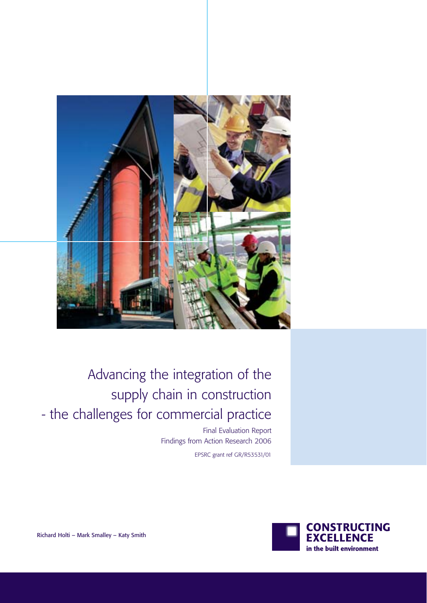

Advancing the integration of the supply chain in construction - the challenges for commercial practice

> Final Evaluation Report Findings from Action Research 2006

> > EPSRC grant ref GR/R53531/01



Richard Holti – Mark Smalley – Katy Smith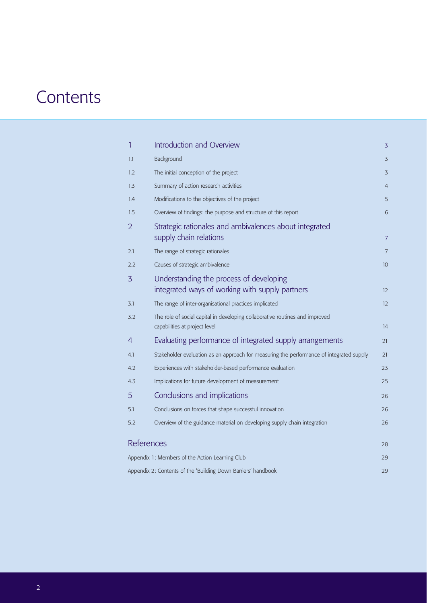# **Contents**

|                                                 | 1                                                             | Introduction and Overview                                                                                     | 3  |
|-------------------------------------------------|---------------------------------------------------------------|---------------------------------------------------------------------------------------------------------------|----|
|                                                 | 1.1                                                           | Background                                                                                                    | 3  |
|                                                 | 1.2                                                           | The initial conception of the project                                                                         | 3  |
|                                                 | 1.3                                                           | Summary of action research activities                                                                         | 4  |
|                                                 | 1.4                                                           | Modifications to the objectives of the project                                                                | 5  |
|                                                 | 1.5                                                           | Overview of findings: the purpose and structure of this report                                                | 6  |
|                                                 | $\overline{2}$                                                | Strategic rationales and ambivalences about integrated<br>supply chain relations                              | 7  |
|                                                 | 2.1                                                           | The range of strategic rationales                                                                             | 7  |
|                                                 | 2.2                                                           | Causes of strategic ambivalence                                                                               | 10 |
|                                                 | 3                                                             | Understanding the process of developing<br>integrated ways of working with supply partners                    | 12 |
|                                                 | 3.1                                                           | The range of inter-organisational practices implicated                                                        | 12 |
|                                                 | 3.2                                                           | The role of social capital in developing collaborative routines and improved<br>capabilities at project level | 14 |
|                                                 | 4                                                             | Evaluating performance of integrated supply arrangements                                                      | 21 |
|                                                 | 4.1                                                           | Stakeholder evaluation as an approach for measuring the performance of integrated supply                      | 21 |
|                                                 | 4.2                                                           | Experiences with stakeholder-based performance evaluation                                                     | 23 |
|                                                 | 4.3                                                           | Implications for future development of measurement                                                            | 25 |
|                                                 | 5                                                             | Conclusions and implications                                                                                  | 26 |
|                                                 | 5.1                                                           | Conclusions on forces that shape successful innovation                                                        | 26 |
|                                                 | 5.2                                                           | Overview of the guidance material on developing supply chain integration                                      | 26 |
|                                                 | References                                                    |                                                                                                               | 28 |
| Appendix 1: Members of the Action Learning Club |                                                               |                                                                                                               | 29 |
|                                                 | Appendix 2: Contents of the 'Building Down Barriers' handbook |                                                                                                               |    |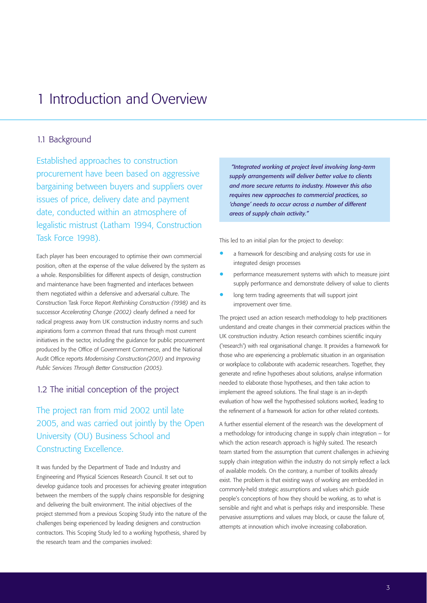# 1 Introduction and Overview

### 1.1 Background

Established approaches to construction procurement have been based on aggressive bargaining between buyers and suppliers over issues of price, delivery date and payment date, conducted within an atmosphere of legalistic mistrust (Latham 1994, Construction Task Force 1998).

Each player has been encouraged to optimise their own commercial position, often at the expense of the value delivered by the system as a whole. Responsibilities for different aspects of design, construction and maintenance have been fragmented and interfaces between them negotiated within a defensive and adversarial culture. The Construction Task Force Report *Rethinking Construction (1998)* and its successor *Accelerating Change (2002)* clearly defined a need for radical progress away from UK construction industry norms and such aspirations form a common thread that runs through most current initiatives in the sector, including the guidance for public procurement produced by the Office of Government Commerce, and the National Audit Office reports *Modernising Construction(2001)* and *Improving Public Services Through Better Construction (2005).*

#### 1.2 The initial conception of the project

The project ran from mid 2002 until late 2005, and was carried out jointly by the Open University (OU) Business School and Constructing Excellence.

It was funded by the Department of Trade and Industry and Engineering and Physical Sciences Research Council. It set out to develop guidance tools and processes for achieving greater integration between the members of the supply chains responsible for designing and delivering the built environment. The initial objectives of the project stemmed from a previous Scoping Study into the nature of the challenges being experienced by leading designers and construction contractors. This Scoping Study led to a working hypothesis, shared by the research team and the companies involved:

*"Integrated working at project level involving long-term supply arrangements will deliver better value to clients and more secure returns to industry. However this also requires new approaches to commercial practices, so 'change' needs to occur across a number of different areas of supply chain activity."*

This led to an initial plan for the project to develop:

- a framework for describing and analysing costs for use in integrated design processes
- performance measurement systems with which to measure joint supply performance and demonstrate delivery of value to clients
- long term trading agreements that will support joint improvement over time.

The project used an action research methodology to help practitioners understand and create changes in their commercial practices within the UK construction industry. Action research combines scientific inquiry ('research') with real organisational change. It provides a framework for those who are experiencing a problematic situation in an organisation or workplace to collaborate with academic researchers. Together, they generate and refine hypotheses about solutions, analyse information needed to elaborate those hypotheses, and then take action to implement the agreed solutions. The final stage is an in-depth evaluation of how well the hypothesised solutions worked, leading to the refinement of a framework for action for other related contexts.

A further essential element of the research was the development of a methodology for introducing change in supply chain integration – for which the action research approach is highly suited. The research team started from the assumption that current challenges in achieving supply chain integration within the industry do not simply reflect a lack of available models. On the contrary, a number of toolkits already exist. The problem is that existing ways of working are embedded in commonly-held strategic assumptions and values which guide people's conceptions of how they should be working, as to what is sensible and right and what is perhaps risky and irresponsible. These pervasive assumptions and values may block, or cause the failure of, attempts at innovation which involve increasing collaboration.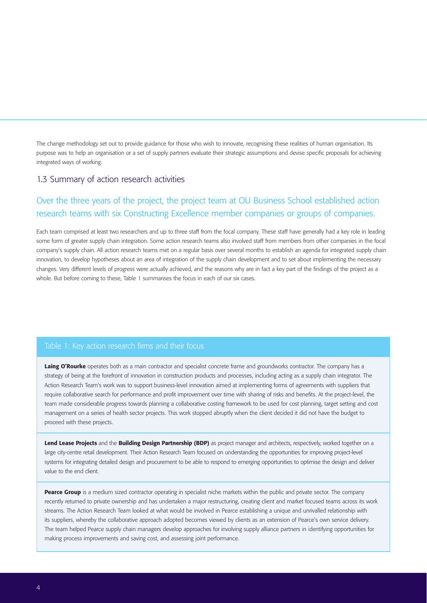The change methodology set out to provide guidance for those who wish to innovate, recognising these realities of human organisation. Its purpose was to help an organisation or a set of supply partners evaluate their strategic assumptions and devise specific proposals for achieving integrated ways of working.

#### 1.3 Summary of action research activities

# Over the three years of the project, the project team at OU Business School established action research teams with six Constructing Excellence member companies or groups of companies.

Each team comprised at least two researchers and up to three staff from the focal company. These staff have generally had a key role in leading some form of greater supply chain integration. Some action research teams also involved staff from members from other companies in the focal company's supply chain. All action research teams met on a regular basis over several months to establish an agenda for integrated supply chain innovation, to develop hypotheses about an area of integration of the supply chain development and to set about implementing the necessary changes. Very different levels of progress were actually achieved, and the reasons why are in fact a key part of the findings of the project as a whole. But before coming to these, Table 1 summarises the focus in each of our six cases.

#### Table 1: Key action research firms and their focus

Laing O'Rourke operates both as a main contractor and specialist concrete frame and groundworks contractor. The company has a strategy of being at the forefront of innovation in construction products and processes, including acting as a supply chain integrator. The Action Research Team's work was to support business-level innovation aimed at implementing forms of agreements with suppliers that require collaborative search for performance and profit improvement over time with sharing of risks and benefits. At the project-level, the team made considerable progress towards planning a collaborative costing framework to be used for cost planning, target setting and cost management on a series of health sector projects. This work stopped abruptly when the client decided it did not have the budget to proceed with these projects.

Lend Lease Projects and the Building Design Partnership (BDP) as project manager and architects, respectively, worked together on a large city-centre retail development. Their Action Research Team focused on understanding the opportunities for improving project-level systems for integrating detailed design and procurement to be able to respond to emerging opportunities to optimise the design and deliver value to the end client.

Pearce Group is a medium sized contractor operating in specialist niche markets within the public and private sector. The company recently returned to private ownership and has undertaken a major restructuring, creating client and market focused teams across its work streams. The Action Research Team looked at what would be involved in Pearce establishing a unique and unrivalled relationship with its suppliers, whereby the collaborative approach adopted becomes viewed by clients as an extension of Pearce's own service delivery. The team helped Pearce supply chain managers develop approaches for involving supply alliance partners in identifying opportunities for making process improvements and saving cost, and assessing joint performance.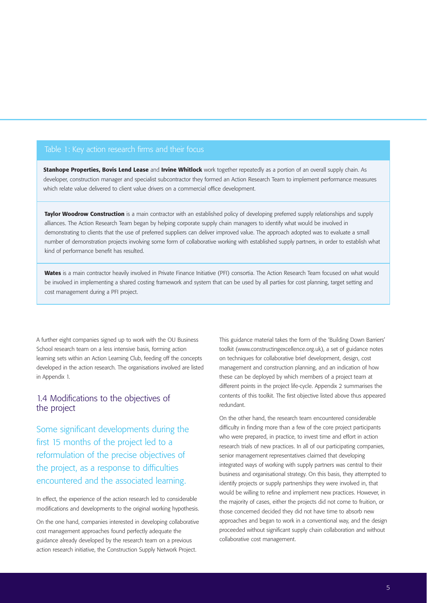#### Table 1: Key action research firms and their focus

Stanhope Properties, Bovis Lend Lease and Irvine Whitlock work together repeatedly as a portion of an overall supply chain. As developer, construction manager and specialist subcontractor they formed an Action Research Team to implement performance measures which relate value delivered to client value drivers on a commercial office development.

Taylor Woodrow Construction is a main contractor with an established policy of developing preferred supply relationships and supply alliances. The Action Research Team began by helping corporate supply chain managers to identify what would be involved in demonstrating to clients that the use of preferred suppliers can deliver improved value. The approach adopted was to evaluate a small number of demonstration projects involving some form of collaborative working with established supply partners, in order to establish what kind of performance benefit has resulted.

Wates is a main contractor heavily involved in Private Finance Initiative (PFI) consortia. The Action Research Team focused on what would be involved in implementing a shared costing framework and system that can be used by all parties for cost planning, target setting and cost management during a PFI project.

A further eight companies signed up to work with the OU Business School research team on a less intensive basis, forming action learning sets within an Action Learning Club, feeding off the concepts developed in the action research. The organisations involved are listed in Appendix 1.

### 1.4 Modifications to the objectives of the project

Some significant developments during the first 15 months of the project led to a reformulation of the precise objectives of the project, as a response to difficulties encountered and the associated learning.

In effect, the experience of the action research led to considerable modifications and developments to the original working hypothesis.

On the one hand, companies interested in developing collaborative cost management approaches found perfectly adequate the guidance already developed by the research team on a previous action research initiative, the Construction Supply Network Project.

This guidance material takes the form of the 'Building Down Barriers' toolkit (www.constructingexcellence.org.uk), a set of guidance notes on techniques for collaborative brief development, design, cost management and construction planning, and an indication of how these can be deployed by which members of a project team at different points in the project life-cycle. Appendix 2 summarises the contents of this toolkit. The first objective listed above thus appeared redundant.

On the other hand, the research team encountered considerable difficulty in finding more than a few of the core project participants who were prepared, in practice, to invest time and effort in action research trials of new practices. In all of our participating companies, senior management representatives claimed that developing integrated ways of working with supply partners was central to their business and organisational strategy. On this basis, they attempted to identify projects or supply partnerships they were involved in, that would be willing to refine and implement new practices. However, in the majority of cases, either the projects did not come to fruition, or those concerned decided they did not have time to absorb new approaches and began to work in a conventional way, and the design proceeded without significant supply chain collaboration and without collaborative cost management.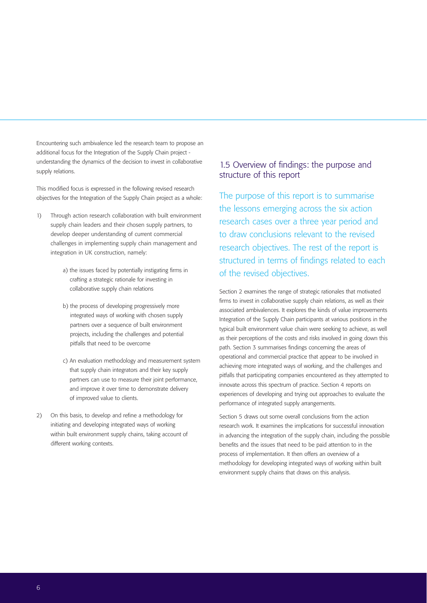Encountering such ambivalence led the research team to propose an additional focus for the Integration of the Supply Chain project understanding the dynamics of the decision to invest in collaborative supply relations.

This modified focus is expressed in the following revised research objectives for the Integration of the Supply Chain project as a whole:

- 1) Through action research collaboration with built environment supply chain leaders and their chosen supply partners, to develop deeper understanding of current commercial challenges in implementing supply chain management and integration in UK construction, namely:
	- a) the issues faced by potentially instigating firms in crafting a strategic rationale for investing in collaborative supply chain relations
	- b) the process of developing progressively more integrated ways of working with chosen supply partners over a sequence of built environment projects, including the challenges and potential pitfalls that need to be overcome
	- c) An evaluation methodology and measurement system that supply chain integrators and their key supply partners can use to measure their joint performance, and improve it over time to demonstrate delivery of improved value to clients.
- 2) On this basis, to develop and refine a methodology for initiating and developing integrated ways of working within built environment supply chains, taking account of different working contexts.

### 1.5 Overview of findings: the purpose and structure of this report

The purpose of this report is to summarise the lessons emerging across the six action research cases over a three year period and to draw conclusions relevant to the revised research objectives. The rest of the report is structured in terms of findings related to each of the revised objectives.

Section 2 examines the range of strategic rationales that motivated firms to invest in collaborative supply chain relations, as well as their associated ambivalences. It explores the kinds of value improvements Integration of the Supply Chain participants at various positions in the typical built environment value chain were seeking to achieve, as well as their perceptions of the costs and risks involved in going down this path. Section 3 summarises findings concerning the areas of operational and commercial practice that appear to be involved in achieving more integrated ways of working, and the challenges and pitfalls that participating companies encountered as they attempted to innovate across this spectrum of practice. Section 4 reports on experiences of developing and trying out approaches to evaluate the performance of integrated supply arrangements.

Section 5 draws out some overall conclusions from the action research work. It examines the implications for successful innovation in advancing the integration of the supply chain, including the possible benefits and the issues that need to be paid attention to in the process of implementation. It then offers an overview of a methodology for developing integrated ways of working within built environment supply chains that draws on this analysis.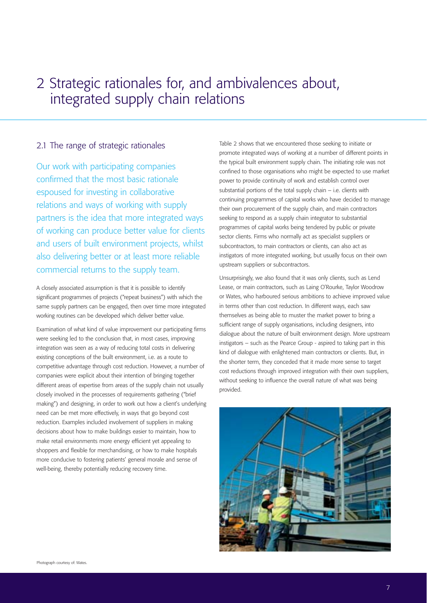# 2 Strategic rationales for, and ambivalences about, integrated supply chain relations

### 2.1 The range of strategic rationales

Our work with participating companies confirmed that the most basic rationale espoused for investing in collaborative relations and ways of working with supply partners is the idea that more integrated ways of working can produce better value for clients and users of built environment projects, whilst also delivering better or at least more reliable commercial returns to the supply team.

A closely associated assumption is that it is possible to identify significant programmes of projects ("repeat business") with which the same supply partners can be engaged, then over time more integrated working routines can be developed which deliver better value.

Examination of what kind of value improvement our participating firms were seeking led to the conclusion that, in most cases, improving integration was seen as a way of reducing total costs in delivering existing conceptions of the built environment, i.e. as a route to competitive advantage through cost reduction. However, a number of companies were explicit about their intention of bringing together different areas of expertise from areas of the supply chain not usually closely involved in the processes of requirements gathering ("brief making") and designing, in order to work out how a client's underlying need can be met more effectively, in ways that go beyond cost reduction. Examples included involvement of suppliers in making decisions about how to make buildings easier to maintain, how to make retail environments more energy efficient yet appealing to shoppers and flexible for merchandising, or how to make hospitals more conducive to fostering patients'general morale and sense of well-being, thereby potentially reducing recovery time.

Table 2 shows that we encountered those seeking to initiate or promote integrated ways of working at a number of different points in the typical built environment supply chain. The initiating role was not confined to those organisations who might be expected to use market power to provide continuity of work and establish control over substantial portions of the total supply chain – i.e. clients with continuing programmes of capital works who have decided to manage their own procurement of the supply chain, and main contractors seeking to respond as a supply chain integrator to substantial programmes of capital works being tendered by public or private sector clients. Firms who normally act as specialist suppliers or subcontractors, to main contractors or clients, can also act as instigators of more integrated working, but usually focus on their own upstream suppliers or subcontractors.

Unsurprisingly, we also found that it was only clients, such as Lend Lease, or main contractors, such as Laing O'Rourke, Taylor Woodrow or Wates, who harboured serious ambitions to achieve improved value in terms other than cost reduction. In different ways, each saw themselves as being able to muster the market power to bring a sufficient range of supply organisations, including designers, into dialogue about the nature of built environment design. More upstream instigators – such as the Pearce Group - aspired to taking part in this kind of dialogue with enlightened main contractors or clients. But, in the shorter term, they conceded that it made more sense to target cost reductions through improved integration with their own suppliers, without seeking to influence the overall nature of what was being provided.

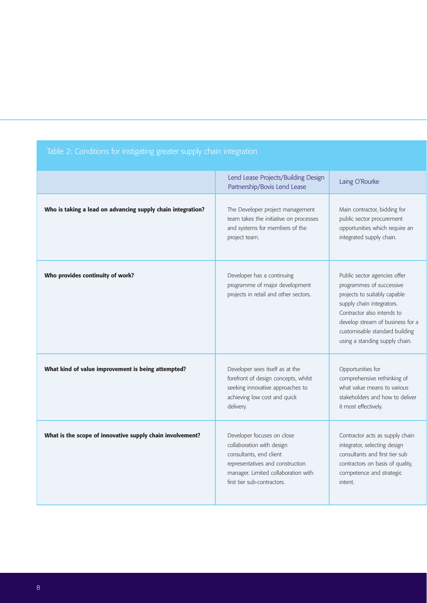# Table 2: Conditions for instigating greater supply chain integration

|                                                             | Lend Lease Projects/Building Design<br>Partnership/Bovis Lend Lease                                                                                                                          | Laing O'Rourke                                                                                                                                                                                                                                              |
|-------------------------------------------------------------|----------------------------------------------------------------------------------------------------------------------------------------------------------------------------------------------|-------------------------------------------------------------------------------------------------------------------------------------------------------------------------------------------------------------------------------------------------------------|
| Who is taking a lead on advancing supply chain integration? | The Developer project management<br>team takes the initiative on processes<br>and systems for members of the<br>project team.                                                                | Main contractor, bidding for<br>public sector procurement<br>opportunities which require an<br>integrated supply chain.                                                                                                                                     |
| Who provides continuity of work?                            | Developer has a continuing<br>programme of major development<br>projects in retail and other sectors.                                                                                        | Public sector agencies offer<br>programmes of successive<br>projects to suitably capable<br>supply chain integrators.<br>Contractor also intends to<br>develop stream of business for a<br>customisable standard building<br>using a standing supply chain. |
| What kind of value improvement is being attempted?          | Developer sees itself as at the<br>forefront of design concepts, whilst<br>seeking innovative approaches to<br>achieving low cost and quick<br>delivery.                                     | Opportunities for<br>comprehensive rethinking of<br>what value means to various<br>stakeholders and how to deliver<br>it most effectively.                                                                                                                  |
| What is the scope of innovative supply chain involvement?   | Developer focuses on close<br>collaboration with design<br>consultants, end client<br>representatives and construction<br>manager. Limited collaboration with<br>first tier sub-contractors. | Contractor acts as supply chain<br>integrator, selecting design<br>consultants and first tier sub<br>contractors on basis of quality,<br>competence and strategic<br>intent.                                                                                |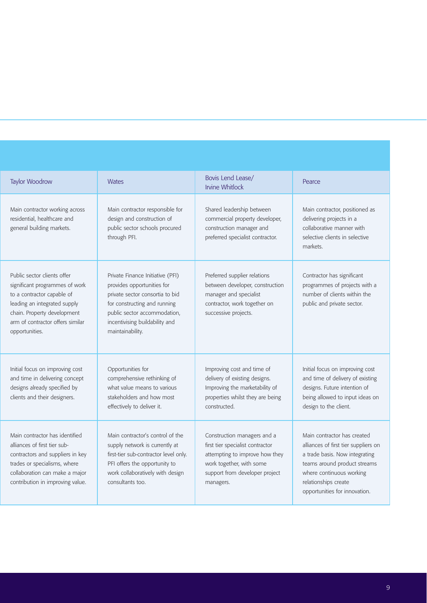| Taylor Woodrow                                                                                                                                                                                                   | <b>Wates</b>                                                                                                                                                                                                            | Bovis Lend Lease/<br><b>Irvine Whitlock</b>                                                                                                                                  | Pearce                                                                                                                                                                                                                     |
|------------------------------------------------------------------------------------------------------------------------------------------------------------------------------------------------------------------|-------------------------------------------------------------------------------------------------------------------------------------------------------------------------------------------------------------------------|------------------------------------------------------------------------------------------------------------------------------------------------------------------------------|----------------------------------------------------------------------------------------------------------------------------------------------------------------------------------------------------------------------------|
| Main contractor working across<br>residential, healthcare and<br>general building markets.                                                                                                                       | Main contractor responsible for<br>design and construction of<br>public sector schools procured<br>through PFI.                                                                                                         | Shared leadership between<br>commercial property developer,<br>construction manager and<br>preferred specialist contractor.                                                  | Main contractor, positioned as<br>delivering projects in a<br>collaborative manner with<br>selective clients in selective<br>markets                                                                                       |
| Public sector clients offer<br>significant programmes of work<br>to a contractor capable of<br>leading an integrated supply<br>chain. Property development<br>arm of contractor offers similar<br>opportunities. | Private Finance Initiative (PFI)<br>provides opportunities for<br>private sector consortia to bid<br>for constructing and running<br>public sector accommodation,<br>incentivising buildability and<br>maintainability. | Preferred supplier relations<br>between developer, construction<br>manager and specialist<br>contractor, work together on<br>successive projects.                            | Contractor has significant<br>programmes of projects with a<br>number of clients within the<br>public and private sector.                                                                                                  |
| Initial focus on improving cost<br>and time in delivering concept<br>designs already specified by<br>clients and their designers.                                                                                | Opportunities for<br>comprehensive rethinking of<br>what value means to various<br>stakeholders and how most<br>effectively to deliver it.                                                                              | Improving cost and time of<br>delivery of existing designs.<br>Improving the marketability of<br>properties whilst they are being<br>constructed.                            | Initial focus on improving cost<br>and time of delivery of existing<br>designs. Future intention of<br>being allowed to input ideas on<br>design to the client.                                                            |
| Main contractor has identified<br>alliances of first tier sub-<br>contractors and suppliers in key<br>trades or specialisms, where<br>collaboration can make a major<br>contribution in improving value.         | Main contractor's control of the<br>supply network is currently at<br>first-tier sub-contractor level only.<br>PFI offers the opportunity to<br>work collaboratively with design<br>consultants too.                    | Construction managers and a<br>first tier specialist contractor<br>attempting to improve how they<br>work together, with some<br>support from developer project<br>managers. | Main contractor has created<br>alliances of first tier suppliers on<br>a trade basis. Now integrating<br>teams around product streams<br>where continuous working<br>relationships create<br>opportunities for innovation. |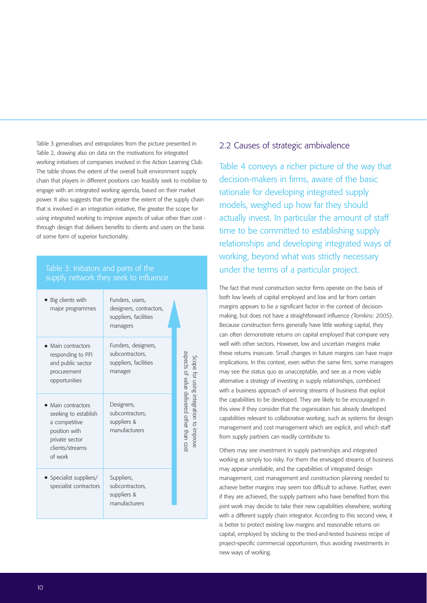Table 3 generalises and extrapolates from the picture presented in Table 2, drawing also on data on the motivations for integrated working initiatives of companies involved in the Action Learning Club. The table shows the extent of the overall built environment supply chain that players in different positions can feasibly seek to mobilise to engage with an integrated working agenda, based on their market power. It also suggests that the greater the extent of the supply chain that is involved in an integration initiative, the greater the scope for using integrated working to improve aspects of value other than cost through design that delivers benefits to clients and users on the basis of some form of superior functionality.

### Table 3: Initiators and parts of the supply network they seek to influence

| • Big clients with<br>major programmes                                                                                       | Funders, users,<br>designers, contractors,<br>suppliers, facilities<br>managers |                                                                                     |
|------------------------------------------------------------------------------------------------------------------------------|---------------------------------------------------------------------------------|-------------------------------------------------------------------------------------|
| • Main contractors<br>responding to PFI<br>and public sector<br>procurement<br>opportunities                                 | Funders, designers,<br>subcontractors,<br>suppliers, facilities<br>manager      |                                                                                     |
| • Main contractors<br>seeking to establish<br>a competitive<br>position with<br>private sector<br>clients/streams<br>of work | Designers,<br>subcontractors,<br>suppliers &<br>manufacturers                   | aspects of value delivered offer than cost<br>Scope for using integration to improv |
| • Specialist suppliers/<br>specialist contractors                                                                            | Suppliers,<br>subcontractors,<br>suppliers &<br>manufacturers                   |                                                                                     |

### 2.2 Causes of strategic ambivalence

Table 4 conveys a richer picture of the way that decision-makers in firms, aware of the basic rationale for developing integrated supply models, weighed up how far they should actually invest. In particular the amount of staff time to be committed to establishing supply relationships and developing integrated ways of working, beyond what was strictly necessary under the terms of a particular project.

The fact that most construction sector firms operate on the basis of both low levels of capital employed and low and far from certain margins appears to be a significant factor in the context of decisionmaking, but does not have a straightforward influence *(Tomkins: 2005)*. Because construction firms generally have little working capital, they can often demonstrate returns on capital employed that compare very well with other sectors. However, low and uncertain margins make these returns insecure. Small changes in future margins can have major implications. In this context, even within the same firm, some managers may see the status quo as unacceptable, and see as a more viable alternative a strategy of investing in supply relationships, combined with a business approach of winning streams of business that exploit the capabilities to be developed. They are likely to be encouraged in this view if they consider that the organisation has already developed capabilities relevant to collaborative working, such as systems for design management and cost management which are explicit, and which staff from supply partners can readily contribute to.

Others may see investment in supply partnerships and integrated working as simply too risky. For them the envisaged streams of business may appear unreliable, and the capabilities of integrated design management, cost management and construction planning needed to achieve better margins may seem too difficult to achieve. Further, even if they are achieved, the supply partners who have benefited from this joint work may decide to take their new capabilities elsewhere, working with a different supply chain integrator. According to this second view, it is better to protect existing low margins and reasonable returns on capital, employed by sticking to the tried-and-tested business recipe of project-specific commercial opportunism, thus avoiding investments in new ways of working.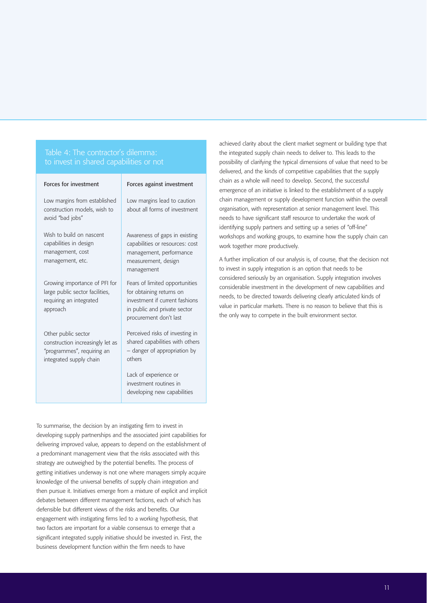#### Table 4: The contractor's dilemma: to invest in shared capabilities or not

|  | Forces for investment |
|--|-----------------------|
|--|-----------------------|

#### Forces against investment

Low margins from established construction models, wish to avoid "bad jobs"

Wish to build on nascent capabilities in design management, cost management, etc.

Growing importance of PFI for large public sector facilities, requiring an integrated approach

Other public sector construction increasingly let as "programmes", requiring an integrated supply chain

Low margins lead to caution about all forms of investment

Awareness of gaps in existing capabilities or resources: cost management, performance measurement, design management

Fears of limited opportunities for obtaining returns on investment if current fashions in public and private sector procurement don't last

Perceived risks of investing in shared capabilities with others – danger of appropriation by others

Lack of experience or investment routines in developing new capabilities

To summarise, the decision by an instigating firm to invest in developing supply partnerships and the associated joint capabilities for delivering improved value, appears to depend on the establishment of a predominant management view that the risks associated with this strategy are outweighed by the potential benefits. The process of getting initiatives underway is not one where managers simply acquire knowledge of the universal benefits of supply chain integration and then pursue it. Initiatives emerge from a mixture of explicit and implicit debates between different management factions, each of which has defensible but different views of the risks and benefits. Our engagement with instigating firms led to a working hypothesis, that two factors are important for a viable consensus to emerge that a significant integrated supply initiative should be invested in. First, the business development function within the firm needs to have

achieved clarity about the client market segment or building type that the integrated supply chain needs to deliver to. This leads to the possibility of clarifying the typical dimensions of value that need to be delivered, and the kinds of competitive capabilities that the supply chain as a whole will need to develop. Second, the successful emergence of an initiative is linked to the establishment of a supply chain management or supply development function within the overall organisation, with representation at senior management level. This needs to have significant staff resource to undertake the work of identifying supply partners and setting up a series of "off-line" workshops and working groups, to examine how the supply chain can work together more productively.

A further implication of our analysis is, of course, that the decision not to invest in supply integration is an option that needs to be considered seriously by an organisation. Supply integration involves considerable investment in the development of new capabilities and needs, to be directed towards delivering clearly articulated kinds of value in particular markets. There is no reason to believe that this is the only way to compete in the built environment sector.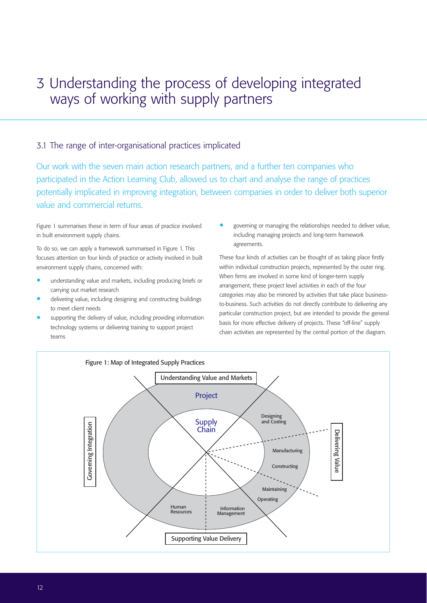# 3 Understanding the process of developing integrated ways of working with supply partners

#### 3.1 The range of inter-organisational practices implicated

Our work with the seven main action research partners, and a further ten companies who participated in the Action Learning Club, allowed us to chart and analyse the range of practices potentially implicated in improving integration, between companies in order to deliver both superior value and commercial returns.

Figure 1 summarises these in term of four areas of practice involved in built environment supply chains.

To do so, we can apply a framework summarised in Figure 1. This focuses attention on four kinds of practice or activity involved in built environment supply chains, concerned with:

- understanding value and markets, including producing briefs or carrying out market research
- delivering value, including designing and constructing buildings to meet client needs
- supporting the delivery of value, including providing information technology systems or delivering training to support project teams

• governing or managing the relationships needed to deliver value, including managing projects and long-term framework agreements.

These four kinds of activities can be thought of as taking place firstly within individual construction projects, represented by the outer ring. When firms are involved in some kind of longer-term supply arrangement, these project level activities in each of the four categories may also be mirrored by activities that take place businessto-business. Such activities do not directly contribute to delivering any particular construction project, but are intended to provide the general basis for more effective delivery of projects. These "off-line" supply chain activities are represented by the central portion of the diagram.

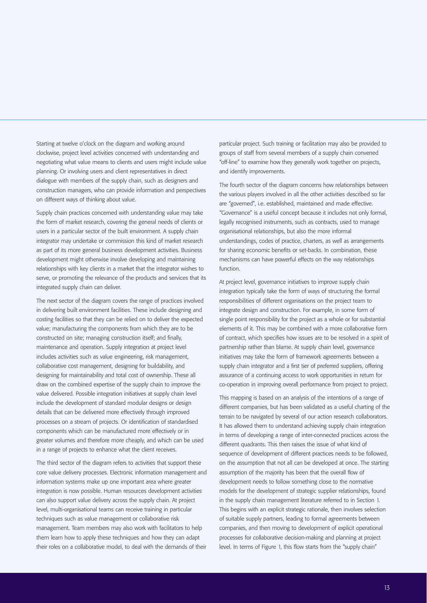Starting at twelve o'clock on the diagram and working around clockwise, project level activities concerned with understanding and negotiating what value means to clients and users might include value planning. Or involving users and client representatives in direct dialogue with members of the supply chain, such as designers and construction managers, who can provide information and perspectives on different ways of thinking about value.

Supply chain practices concerned with understanding value may take the form of market research, covering the general needs of clients or users in a particular sector of the built environment. A supply chain integrator may undertake or commission this kind of market research as part of its more general business development activities. Business development might otherwise involve developing and maintaining relationships with key clients in a market that the integrator wishes to serve, or promoting the relevance of the products and services that its integrated supply chain can deliver.

The next sector of the diagram covers the range of practices involved in delivering built environment facilities. These include designing and costing facilities so that they can be relied on to deliver the expected value; manufacturing the components from which they are to be constructed on site; managing construction itself; and finally, maintenance and operation. Supply integration at project level includes activities such as value engineering, risk management, collaborative cost management, designing for buildability, and designing for maintainability and total cost of ownership. These all draw on the combined expertise of the supply chain to improve the value delivered. Possible integration initiatives at supply chain level include the development of standard modular designs or design details that can be delivered more effectively through improved processes on a stream of projects. Or identification of standardised components which can be manufactured more effectively or in greater volumes and therefore more cheaply, and which can be used in a range of projects to enhance what the client receives.

The third sector of the diagram refers to activities that support these core value delivery processes. Electronic information management and information systems make up one important area where greater integration is now possible. Human resources development activities can also support value delivery across the supply chain. At project level, multi-organisational teams can receive training in particular techniques such as value management or collaborative risk management. Team members may also work with facilitators to help them learn how to apply these techniques and how they can adapt their roles on a collaborative model, to deal with the demands of their

particular project. Such training or facilitation may also be provided to groups of staff from several members of a supply chain convened "off-line" to examine how they generally work together on projects, and identify improvements.

The fourth sector of the diagram concerns how relationships between the various players involved in all the other activities described so far are "governed", i.e. established, maintained and made effective. "Governance" is a useful concept because it includes not only formal, legally recognised instruments, such as contracts, used to manage organisational relationships, but also the more informal understandings, codes of practice, charters, as well as arrangements for sharing economic benefits or set-backs. In combination, these mechanisms can have powerful effects on the way relationships function.

At project level, governance initiatives to improve supply chain integration typically take the form of ways of structuring the formal responsibilities of different organisations on the project team to integrate design and construction. For example, in some form of single point responsibility for the project as a whole or for substantial elements of it. This may be combined with a more collaborative form of contract, which specifies how issues are to be resolved in a spirit of partnership rather than blame. At supply chain level, governance initiatives may take the form of framework agreements between a supply chain integrator and a first tier of preferred suppliers, offering assurance of a continuing access to work opportunities in return for co-operation in improving overall performance from project to project.

This mapping is based on an analysis of the intentions of a range of different companies, but has been validated as a useful charting of the terrain to be navigated by several of our action research collaborators. It has allowed them to understand achieving supply chain integration in terms of developing a range of inter-connected practices across the different quadrants. This then raises the issue of what kind of sequence of development of different practices needs to be followed, on the assumption that not all can be developed at once. The starting assumption of the majority has been that the overall flow of development needs to follow something close to the normative models for the development of strategic supplier relationships, found in the supply chain management literature referred to in Section 1. This begins with an explicit strategic rationale, then involves selection of suitable supply partners, leading to formal agreements between companies, and then moving to development of explicit operational processes for collaborative decision-making and planning at project level. In terms of Figure 1, this flow starts from the "supply chain"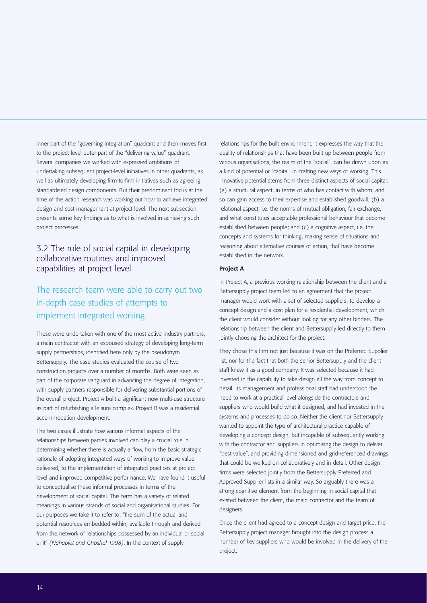inner part of the "governing integration" quadrant and then moves first to the project level outer part of the "delivering value" quadrant. Several companies we worked with expressed ambitions of undertaking subsequent project-level initiatives in other quadrants, as well as ultimately developing firm-to-firm initiatives such as agreeing standardised design components. But their predominant focus at the time of the action research was working out how to achieve integrated design and cost management at project level. The next subsection presents some key findings as to what is involved in achieving such project processes.

#### 3.2 The role of social capital in developing collaborative routines and improved capabilities at project level

# The research team were able to carry out two in-depth case studies of attempts to implement integrated working.

These were undertaken with one of the most active industry partners, a main contractor with an espoused strategy of developing long-term supply partnerships, identified here only by the pseudonym Bettersupply. The case studies evaluated the course of two construction projects over a number of months. Both were seen as part of the corporate vanguard in advancing the degree of integration, with supply partners responsible for delivering substantial portions of the overall project. Project A built a significant new multi-use structure as part of refurbishing a leisure complex. Project B was a residential accommodation development.

The two cases illustrate how various informal aspects of the relationships between parties involved can play a crucial role in determining whether there is actually a flow, from the basic strategic rationale of adopting integrated ways of working to improve value delivered, to the implementation of integrated practices at project level and improved competitive performance. We have found it useful to conceptualise these informal processes in terms of the development of social capital. This term has a variety of related meanings in various strands of social and organisational studies. For our purposes we take it to refer to: "the sum of the actual and potential resources embedded within, available through and derived from the network of relationships possessed by an individual or social unit" *(Nahapiet and Ghoshal 1998)*. In the context of supply

relationships for the built environment, it expresses the way that the quality of relationships that have been built up between people from various organisations, the realm of the "social", can be drawn upon as a kind of potential or "capital" in crafting new ways of working. This innovative potential stems from three distinct aspects of social capital: (a) a structural aspect, in terms of who has contact with whom, and so can gain access to their expertise and established goodwill; (b) a relational aspect, i.e. the norms of mutual obligation, fair exchange, and what constitutes acceptable professional behaviour that become established between people; and (c) a cognitive aspect, i.e. the concepts and systems for thinking, making sense of situations and reasoning about alternative courses of action, that have become established in the network.

#### Project A

In Project A, a previous working relationship between the client and a Bettersupply project team led to an agreement that the project manager would work with a set of selected suppliers, to develop a concept design and a cost plan for a residential development, which the client would consider without looking for any other bidders. The relationship between the client and Bettersupply led directly to them jointly choosing the architect for the project.

They chose this firm not just because it was on the Preferred Supplier list, nor for the fact that both the senior Bettersupply and the client staff knew it as a good company. It was selected because it had invested in the capability to take design all the way from concept to detail. Its management and professional staff had understood the need to work at a practical level alongside the contractors and suppliers who would build what it designed, and had invested in the systems and processes to do so. Neither the client nor Bettersupply wanted to appoint the type of architectural practice capable of developing a concept design, but incapable of subsequently working with the contractor and suppliers in optimising the design to deliver "best value", and providing dimensioned and grid-referenced drawings that could be worked on collaboratively and in detail. Other design firms were selected jointly from the Bettersupply Preferred and Approved Supplier lists in a similar way. So arguably there was a strong cognitive element from the beginning in social capital that existed between the client, the main contractor and the team of designers.

Once the client had agreed to a concept design and target price, the Bettersupply project manager brought into the design process a number of key suppliers who would be involved in the delivery of the project.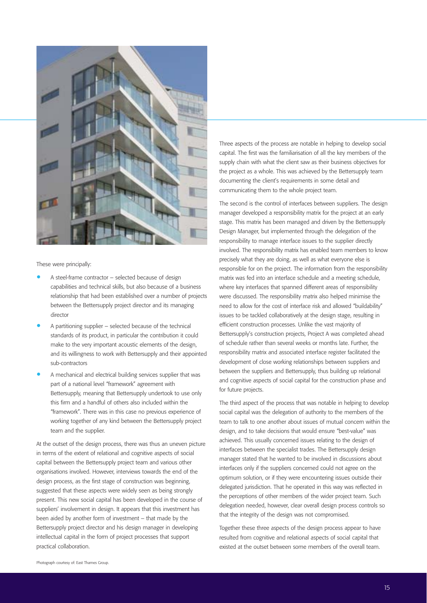

These were principally:

- A steel-frame contractor selected because of design capabilities and technical skills, but also because of a business relationship that had been established over a number of projects between the Bettersupply project director and its managing director
- A partitioning supplier selected because of the technical standards of its product, in particular the contribution it could make to the very important acoustic elements of the design, and its willingness to work with Bettersupply and their appointed sub-contractors
- A mechanical and electrical building services supplier that was part of a national level "framework" agreement with Bettersupply, meaning that Bettersupply undertook to use only this firm and a handful of others also included within the "framework". There was in this case no previous experience of working together of any kind between the Bettersupply project team and the supplier.

At the outset of the design process, there was thus an uneven picture in terms of the extent of relational and cognitive aspects of social capital between the Bettersupply project team and various other organisations involved. However, interviews towards the end of the design process, as the first stage of construction was beginning, suggested that these aspects were widely seen as being strongly present. This new social capital has been developed in the course of suppliers' involvement in design. It appears that this investment has been aided by another form of investment – that made by the Bettersupply project director and his design manager in developing intellectual capital in the form of project processes that support practical collaboration.

Three aspects of the process are notable in helping to develop social capital. The first was the familiarisation of all the key members of the supply chain with what the client saw as their business objectives for the project as a whole. This was achieved by the Bettersupply team documenting the client's requirements in some detail and communicating them to the whole project team.

The second is the control of interfaces between suppliers. The design manager developed a responsibility matrix for the project at an early stage. This matrix has been managed and driven by the Bettersupply Design Manager, but implemented through the delegation of the responsibility to manage interface issues to the supplier directly involved. The responsibility matrix has enabled team members to know precisely what they are doing, as well as what everyone else is responsible for on the project. The information from the responsibility matrix was fed into an interface schedule and a meeting schedule, where key interfaces that spanned different areas of responsibility were discussed. The responsibility matrix also helped minimise the need to allow for the cost of interface risk and allowed "buildability" issues to be tackled collaboratively at the design stage, resulting in efficient construction processes. Unlike the vast majority of Bettersupply's construction projects, Project A was completed ahead of schedule rather than several weeks or months late. Further, the responsibility matrix and associated interface register facilitated the development of close working relationships between suppliers and between the suppliers and Bettersupply, thus building up relational and cognitive aspects of social capital for the construction phase and for future projects.

The third aspect of the process that was notable in helping to develop social capital was the delegation of authority to the members of the team to talk to one another about issues of mutual concern within the design, and to take decisions that would ensure "best-value" was achieved. This usually concerned issues relating to the design of interfaces between the specialist trades. The Bettersupply design manager stated that he wanted to be involved in discussions about interfaces only if the suppliers concerned could not agree on the optimum solution, or if they were encountering issues outside their delegated jurisdiction. That he operated in this way was reflected in the perceptions of other members of the wider project team. Such delegation needed, however, clear overall design process controls so that the integrity of the design was not compromised.

Together these three aspects of the design process appear to have resulted from cognitive and relational aspects of social capital that existed at the outset between some members of the overall team.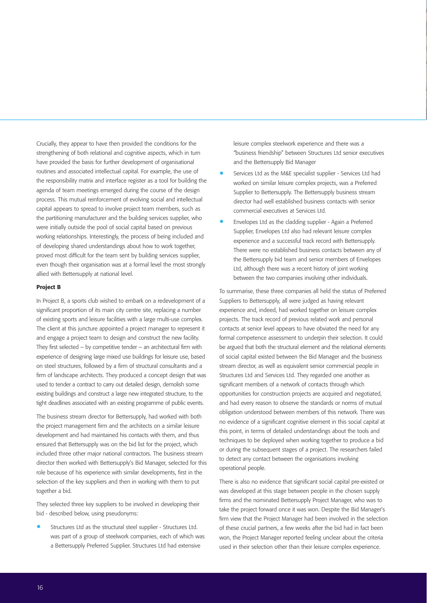Crucially, they appear to have then provided the conditions for the strengthening of both relational and cognitive aspects, which in turn have provided the basis for further development of organisational routines and associated intellectual capital. For example, the use of the responsibility matrix and interface register as a tool for building the agenda of team meetings emerged during the course of the design process. This mutual reinforcement of evolving social and intellectual capital appears to spread to involve project team members, such as the partitioning manufacturer and the building services supplier, who were initially outside the pool of social capital based on previous working relationships. Interestingly, the process of being included and of developing shared understandings about how to work together, proved most difficult for the team sent by building services supplier, even though their organisation was at a formal level the most strongly allied with Bettersupply at national level.

#### Project B

In Project B, a sports club wished to embark on a redevelopment of a significant proportion of its main city centre site, replacing a number of existing sports and leisure facilities with a large multi-use complex. The client at this juncture appointed a project manager to represent it and engage a project team to design and construct the new facility. They first selected – by competitive tender – an architectural firm with experience of designing large mixed use buildings for leisure use, based on steel structures, followed by a firm of structural consultants and a firm of landscape architects. They produced a concept design that was used to tender a contract to carry out detailed design, demolish some existing buildings and construct a large new integrated structure, to the tight deadlines associated with an existing programme of public events.

The business stream director for Bettersupply, had worked with both the project management firm and the architects on a similar leisure development and had maintained his contacts with them, and thus ensured that Bettersupply was on the bid list for the project, which included three other major national contractors. The business stream director then worked with Bettersupply's Bid Manager, selected for this role because of his experience with similar developments, first in the selection of the key suppliers and then in working with them to put together a bid.

They selected three key suppliers to be involved in developing their bid - described below, using pseudonyms:

• Structures Ltd as the structural steel supplier - Structures Ltd. was part of a group of steelwork companies, each of which was a Bettersupply Preferred Supplier. Structures Ltd had extensive

leisure complex steelwork experience and there was a "business friendship" between Structures Ltd senior executives and the Bettersupply Bid Manager

- Services Ltd as the M&E specialist supplier Services Ltd had worked on similar leisure complex projects, was a Preferred Supplier to Bettersupply. The Bettersupply business stream director had well established business contacts with senior commercial executives at Services Ltd.
- Envelopes Ltd as the cladding supplier Again a Preferred Supplier, Envelopes Ltd also had relevant leisure complex experience and a successful track record with Bettersupply. There were no established business contacts between any of the Bettersupply bid team and senior members of Envelopes Ltd, although there was a recent history of joint working between the two companies involving other individuals.

To summarise, these three companies all held the status of Preferred Suppliers to Bettersupply, all were judged as having relevant experience and, indeed, had worked together on leisure complex projects. The track record of previous related work and personal contacts at senior level appears to have obviated the need for any formal competence assessment to underpin their selection. It could be argued that both the structural element and the relational elements of social capital existed between the Bid Manager and the business stream director, as well as equivalent senior commercial people in Structures Ltd and Services Ltd. They regarded one another as significant members of a network of contacts through which opportunities for construction projects are acquired and negotiated, and had every reason to observe the standards or norms of mutual obligation understood between members of this network. There was no evidence of a significant cognitive element in this social capital at this point, in terms of detailed understandings about the tools and techniques to be deployed when working together to produce a bid or during the subsequent stages of a project. The researchers failed to detect any contact between the organisations involving operational people.

There is also no evidence that significant social capital pre-existed or was developed at this stage between people in the chosen supply firms and the nominated Bettersupply Project Manager, who was to take the project forward once it was won. Despite the Bid Manager's firm view that the Project Manager had been involved in the selection of these crucial partners, a few weeks after the bid had in fact been won, the Project Manager reported feeling unclear about the criteria used in their selection other than their leisure complex experience.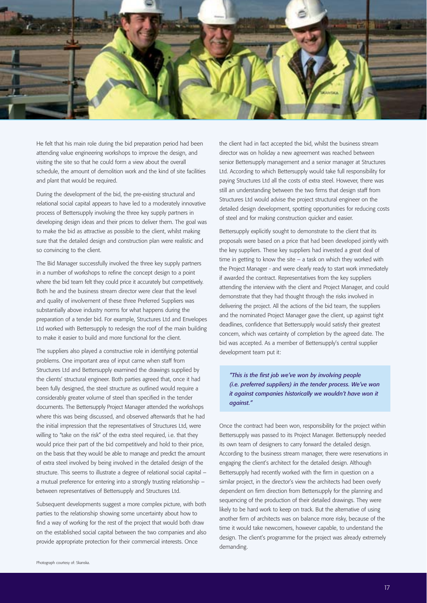

He felt that his main role during the bid preparation period had been attending value engineering workshops to improve the design, and visiting the site so that he could form a view about the overall schedule, the amount of demolition work and the kind of site facilities and plant that would be required.

During the development of the bid, the pre-existing structural and relational social capital appears to have led to a moderately innovative process of Bettersupply involving the three key supply partners in developing design ideas and their prices to deliver them. The goal was to make the bid as attractive as possible to the client, whilst making sure that the detailed design and construction plan were realistic and so convincing to the client.

The Bid Manager successfully involved the three key supply partners in a number of workshops to refine the concept design to a point where the bid team felt they could price it accurately but competitively. Both he and the business stream director were clear that the level and quality of involvement of these three Preferred Suppliers was substantially above industry norms for what happens during the preparation of a tender bid. For example, Structures Ltd and Envelopes Ltd worked with Bettersupply to redesign the roof of the main building to make it easier to build and more functional for the client.

The suppliers also played a constructive role in identifying potential problems. One important area of input came when staff from Structures Ltd and Bettersupply examined the drawings supplied by the clients' structural engineer. Both parties agreed that, once it had been fully designed, the steel structure as outlined would require a considerably greater volume of steel than specified in the tender documents. The Bettersupply Project Manager attended the workshops where this was being discussed, and observed afterwards that he had the initial impression that the representatives of Structures Ltd, were willing to "take on the risk" of the extra steel required, i.e. that they would price their part of the bid competitively and hold to their price, on the basis that they would be able to manage and predict the amount of extra steel involved by being involved in the detailed design of the structure. This seems to illustrate a degree of relational social capital – a mutual preference for entering into a strongly trusting relationship – between representatives of Bettersupply and Structures Ltd.

Subsequent developments suggest a more complex picture, with both parties to the relationship showing some uncertainty about how to find a way of working for the rest of the project that would both draw on the established social capital between the two companies and also provide appropriate protection for their commercial interests. Once

*against."* Once the contract had been won, responsibility for the project within

development team put it:

Bettersupply was passed to its Project Manager. Bettersupply needed its own team of designers to carry forward the detailed design. According to the business stream manager, there were reservations in engaging the client's architect for the detailed design. Although Bettersupply had recently worked with the firm in question on a similar project, in the director's view the architects had been overly dependent on firm direction from Bettersupply for the planning and sequencing of the production of their detailed drawings. They were likely to be hard work to keep on track. But the alternative of using another firm of architects was on balance more risky, because of the time it would take newcomers, however capable, to understand the design. The client's programme for the project was already extremely demanding.

*"This is the first job we've won by involving people (i.e. preferred suppliers) in the tender process. We've won it against companies historically we wouldn't have won it*

the client had in fact accepted the bid, whilst the business stream director was on holiday a new agreement was reached between senior Bettersupply management and a senior manager at Structures Ltd. According to which Bettersupply would take full responsibility for paying Structures Ltd all the costs of extra steel. However, there was still an understanding between the two firms that design staff from Structures Ltd would advise the project structural engineer on the detailed design development, spotting opportunities for reducing costs

of steel and for making construction quicker and easier.

Bettersupply explicitly sought to demonstrate to the client that its proposals were based on a price that had been developed jointly with the key suppliers. These key suppliers had invested a great deal of time in getting to know the site – a task on which they worked with the Project Manager - and were clearly ready to start work immediately if awarded the contract. Representatives from the key suppliers attending the interview with the client and Project Manager, and could demonstrate that they had thought through the risks involved in delivering the project. All the actions of the bid team, the suppliers and the nominated Project Manager gave the client, up against tight deadlines, confidence that Bettersupply would satisfy their greatest concern, which was certainty of completion by the agreed date. The bid was accepted. As a member of Bettersupply's central supplier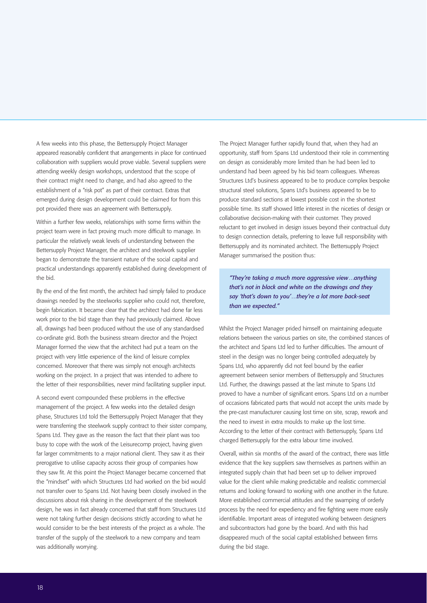A few weeks into this phase, the Bettersupply Project Manager appeared reasonably confident that arrangements in place for continued collaboration with suppliers would prove viable. Several suppliers were attending weekly design workshops, understood that the scope of their contract might need to change, and had also agreed to the establishment of a "risk pot" as part of their contract. Extras that emerged during design development could be claimed for from this pot provided there was an agreement with Bettersupply.

Within a further few weeks, relationships with some firms within the project team were in fact proving much more difficult to manage. In particular the relatively weak levels of understanding between the Bettersupply Project Manager, the architect and steelwork supplier began to demonstrate the transient nature of the social capital and practical understandings apparently established during development of the bid.

By the end of the first month, the architect had simply failed to produce drawings needed by the steelworks supplier who could not, therefore, begin fabrication. It became clear that the architect had done far less work prior to the bid stage than they had previously claimed. Above all, drawings had been produced without the use of any standardised co-ordinate grid. Both the business stream director and the Project Manager formed the view that the architect had put a team on the project with very little experience of the kind of leisure complex concerned. Moreover that there was simply not enough architects working on the project. In a project that was intended to adhere to the letter of their responsibilities, never mind facilitating supplier input.

A second event compounded these problems in the effective management of the project. A few weeks into the detailed design phase, Structures Ltd told the Bettersupply Project Manager that they were transferring the steelwork supply contract to their sister company, Spans Ltd. They gave as the reason the fact that their plant was too busy to cope with the work of the Leisurecomp project, having given far larger commitments to a major national client. They saw it as their prerogative to utilise capacity across their group of companies how they saw fit. At this point the Project Manager became concerned that the "mindset" with which Structures Ltd had worked on the bid would not transfer over to Spans Ltd. Not having been closely involved in the discussions about risk sharing in the development of the steelwork design, he was in fact already concerned that staff from Structures Ltd were not taking further design decisions strictly according to what he would consider to be the best interests of the project as a whole. The transfer of the supply of the steelwork to a new company and team was additionally worrying.

The Project Manager further rapidly found that, when they had an opportunity, staff from Spans Ltd understood their role in commenting on design as considerably more limited than he had been led to understand had been agreed by his bid team colleagues. Whereas Structures Ltd's business appeared to be to produce complex bespoke structural steel solutions, Spans Ltd's business appeared to be to produce standard sections at lowest possible cost in the shortest possible time. Its staff showed little interest in the niceties of design or collaborative decision-making with their customer. They proved reluctant to get involved in design issues beyond their contractual duty to design connection details, preferring to leave full responsibility with Bettersupply and its nominated architect. The Bettersupply Project Manager summarised the position thus:

*"They're taking a much more aggressive view…anything that's not in black and white on the drawings and they say 'that's down to you'…they're a lot more back-seat than we expected."* 

Whilst the Project Manager prided himself on maintaining adequate relations between the various parties on site, the combined stances of the architect and Spans Ltd led to further difficulties. The amount of steel in the design was no longer being controlled adequately by Spans Ltd, who apparently did not feel bound by the earlier agreement between senior members of Bettersupply and Structures Ltd. Further, the drawings passed at the last minute to Spans Ltd proved to have a number of significant errors. Spans Ltd on a number of occasions fabricated parts that would not accept the units made by the pre-cast manufacturer causing lost time on site, scrap, rework and the need to invest in extra moulds to make up the lost time. According to the letter of their contract with Bettersupply, Spans Ltd charged Bettersupply for the extra labour time involved.

Overall, within six months of the award of the contract, there was little evidence that the key suppliers saw themselves as partners within an integrated supply chain that had been set up to deliver improved value for the client while making predictable and realistic commercial returns and looking forward to working with one another in the future. More established commercial attitudes and the swamping of orderly process by the need for expediency and fire fighting were more easily identifiable. Important areas of integrated working between designers and subcontractors had gone by the board. And with this had disappeared much of the social capital established between firms during the bid stage.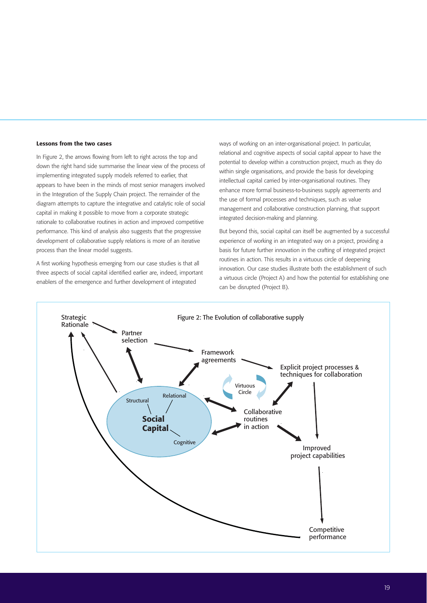#### Lessons from the two cases

In Figure 2, the arrows flowing from left to right across the top and down the right hand side summarise the linear view of the process of implementing integrated supply models referred to earlier, that appears to have been in the minds of most senior managers involved in the Integration of the Supply Chain project. The remainder of the diagram attempts to capture the integrative and catalytic role of social capital in making it possible to move from a corporate strategic rationale to collaborative routines in action and improved competitive performance. This kind of analysis also suggests that the progressive development of collaborative supply relations is more of an iterative process than the linear model suggests.

A first working hypothesis emerging from our case studies is that all three aspects of social capital identified earlier are, indeed, important enablers of the emergence and further development of integrated

ways of working on an inter-organisational project. In particular, relational and cognitive aspects of social capital appear to have the potential to develop within a construction project, much as they do within single organisations, and provide the basis for developing intellectual capital carried by inter-organisational routines. They enhance more formal business-to-business supply agreements and the use of formal processes and techniques, such as value management and collaborative construction planning, that support integrated decision-making and planning.

But beyond this, social capital can itself be augmented by a successful experience of working in an integrated way on a project, providing a basis for future further innovation in the crafting of integrated project routines in action. This results in a virtuous circle of deepening innovation. Our case studies illustrate both the establishment of such a virtuous circle (Project A) and how the potential for establishing one can be disrupted (Project B).

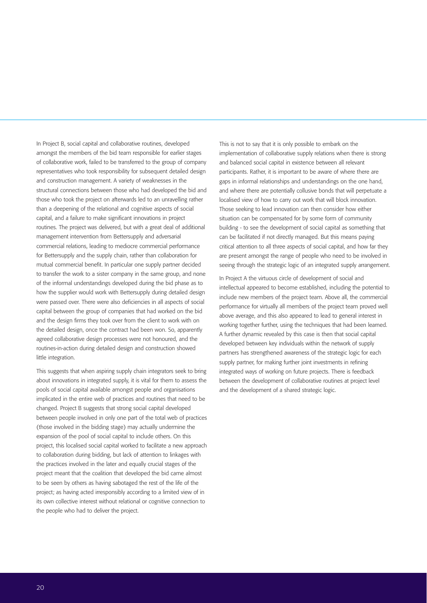In Project B, social capital and collaborative routines, developed amongst the members of the bid team responsible for earlier stages of collaborative work, failed to be transferred to the group of company representatives who took responsibility for subsequent detailed design and construction management. A variety of weaknesses in the structural connections between those who had developed the bid and those who took the project on afterwards led to an unravelling rather than a deepening of the relational and cognitive aspects of social capital, and a failure to make significant innovations in project routines. The project was delivered, but with a great deal of additional management intervention from Bettersupply and adversarial commercial relations, leading to mediocre commercial performance for Bettersupply and the supply chain, rather than collaboration for mutual commercial benefit. In particular one supply partner decided to transfer the work to a sister company in the same group, and none of the informal understandings developed during the bid phase as to how the supplier would work with Bettersupply during detailed design were passed over. There were also deficiencies in all aspects of social capital between the group of companies that had worked on the bid and the design firms they took over from the client to work with on the detailed design, once the contract had been won. So, apparently agreed collaborative design processes were not honoured, and the routines-in-action during detailed design and construction showed little integration.

This suggests that when aspiring supply chain integrators seek to bring about innovations in integrated supply, it is vital for them to assess the pools of social capital available amongst people and organisations implicated in the entire web of practices and routines that need to be changed. Project B suggests that strong social capital developed between people involved in only one part of the total web of practices (those involved in the bidding stage) may actually undermine the expansion of the pool of social capital to include others. On this project, this localised social capital worked to facilitate a new approach to collaboration during bidding, but lack of attention to linkages with the practices involved in the later and equally crucial stages of the project meant that the coalition that developed the bid came almost to be seen by others as having sabotaged the rest of the life of the project; as having acted irresponsibly according to a limited view of in its own collective interest without relational or cognitive connection to the people who had to deliver the project.

This is not to say that it is only possible to embark on the implementation of collaborative supply relations when there is strong and balanced social capital in existence between all relevant participants. Rather, it is important to be aware of where there are gaps in informal relationships and understandings on the one hand, and where there are potentially collusive bonds that will perpetuate a localised view of how to carry out work that will block innovation. Those seeking to lead innovation can then consider how either situation can be compensated for by some form of community building - to see the development of social capital as something that can be facilitated if not directly managed. But this means paying critical attention to all three aspects of social capital, and how far they are present amongst the range of people who need to be involved in seeing through the strategic logic of an integrated supply arrangement.

In Project A the virtuous circle of development of social and intellectual appeared to become established, including the potential to include new members of the project team. Above all, the commercial performance for virtually all members of the project team proved well above average, and this also appeared to lead to general interest in working together further, using the techniques that had been learned. A further dynamic revealed by this case is then that social capital developed between key individuals within the network of supply partners has strengthened awareness of the strategic logic for each supply partner, for making further joint investments in refining integrated ways of working on future projects. There is feedback between the development of collaborative routines at project level and the development of a shared strategic logic.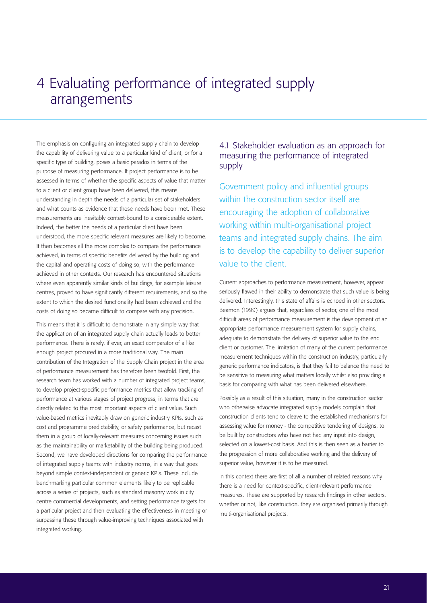# 4 Evaluating performance of integrated supply arrangements

The emphasis on configuring an integrated supply chain to develop the capability of delivering value to a particular kind of client, or for a specific type of building, poses a basic paradox in terms of the purpose of measuring performance. If project performance is to be assessed in terms of whether the specific aspects of value that matter to a client or client group have been delivered, this means understanding in depth the needs of a particular set of stakeholders and what counts as evidence that these needs have been met. These measurements are inevitably context-bound to a considerable extent. Indeed, the better the needs of a particular client have been understood, the more specific relevant measures are likely to become. It then becomes all the more complex to compare the performance achieved, in terms of specific benefits delivered by the building and the capital and operating costs of doing so, with the performance achieved in other contexts. Our research has encountered situations where even apparently similar kinds of buildings, for example leisure centres, proved to have significantly different requirements, and so the extent to which the desired functionality had been achieved and the costs of doing so became difficult to compare with any precision.

This means that it is difficult to demonstrate in any simple way that the application of an integrated supply chain actually leads to better performance. There is rarely, if ever, an exact comparator of a like enough project procured in a more traditional way. The main contribution of the Integration of the Supply Chain project in the area of performance measurement has therefore been twofold. First, the research team has worked with a number of integrated project teams, to develop project-specific performance metrics that allow tracking of performance at various stages of project progress, in terms that are directly related to the most important aspects of client value. Such value-based metrics inevitably draw on generic industry KPIs, such as cost and programme predictability, or safety performance, but recast them in a group of locally-relevant measures concerning issues such as the maintainability or marketability of the building being produced. Second, we have developed directions for comparing the performance of integrated supply teams with industry norms, in a way that goes beyond simple context-independent or generic KPIs. These include benchmarking particular common elements likely to be replicable across a series of projects, such as standard masonry work in city centre commercial developments, and setting performance targets for a particular project and then evaluating the effectiveness in meeting or surpassing these through value-improving techniques associated with integrated working.

### 4.1 Stakeholder evaluation as an approach for measuring the performance of integrated supply

Government policy and influential groups within the construction sector itself are encouraging the adoption of collaborative working within multi-organisational project teams and integrated supply chains. The aim is to develop the capability to deliver superior value to the client.

Current approaches to performance measurement, however, appear seriously flawed in their ability to demonstrate that such value is being delivered. Interestingly, this state of affairs is echoed in other sectors. Beamon (1999) argues that, regardless of sector, one of the most difficult areas of performance measurement is the development of an appropriate performance measurement system for supply chains, adequate to demonstrate the delivery of superior value to the end client or customer. The limitation of many of the current performance measurement techniques within the construction industry, particularly generic performance indicators, is that they fail to balance the need to be sensitive to measuring what matters locally whilst also providing a basis for comparing with what has been delivered elsewhere.

Possibly as a result of this situation, many in the construction sector who otherwise advocate integrated supply models complain that construction clients tend to cleave to the established mechanisms for assessing value for money - the competitive tendering of designs, to be built by constructors who have not had any input into design, selected on a lowest-cost basis. And this is then seen as a barrier to the progression of more collaborative working and the delivery of superior value, however it is to be measured.

In this context there are first of all a number of related reasons why there is a need for context-specific, client-relevant performance measures. These are supported by research findings in other sectors, whether or not, like construction, they are organised primarily through multi-organisational projects.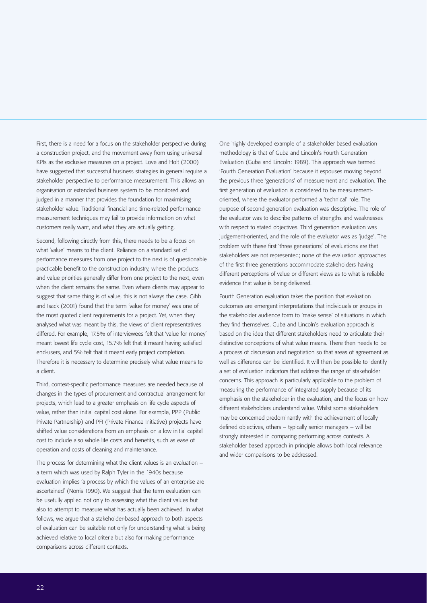First, there is a need for a focus on the stakeholder perspective during a construction project, and the movement away from using universal KPIs as the exclusive measures on a project. Love and Holt (2000) have suggested that successful business strategies in general require a stakeholder perspective to performance measurement. This allows an organisation or extended business system to be monitored and judged in a manner that provides the foundation for maximising stakeholder value. Traditional financial and time-related performance measurement techniques may fail to provide information on what customers really want, and what they are actually getting.

Second, following directly from this, there needs to be a focus on what 'value' means to the client. Reliance on a standard set of performance measures from one project to the next is of questionable practicable benefit to the construction industry, where the products and value priorities generally differ from one project to the next, even when the client remains the same. Even where clients may appear to suggest that same thing is of value, this is not always the case. Gibb and Isack (2001) found that the term 'value for money' was one of the most quoted client requirements for a project. Yet, when they analysed what was meant by this, the views of client representatives differed. For example, 17.5% of interviewees felt that 'value for money' meant lowest life cycle cost, 15.7% felt that it meant having satisfied end-users, and 5% felt that it meant early project completion. Therefore it is necessary to determine precisely what value means to a client.

Third, context-specific performance measures are needed because of changes in the types of procurement and contractual arrangement for projects, which lead to a greater emphasis on life cycle aspects of value, rather than initial capital cost alone. For example, PPP (Public Private Partnership) and PFI (Private Finance Initiative) projects have shifted value considerations from an emphasis on a low initial capital cost to include also whole life costs and benefits, such as ease of operation and costs of cleaning and maintenance.

The process for determining what the client values is an evaluation – a term which was used by Ralph Tyler in the 1940s because evaluation implies 'a process by which the values of an enterprise are ascertained' (Norris 1990). We suggest that the term evaluation can be usefully applied not only to assessing what the client values but also to attempt to measure what has actually been achieved. In what follows, we argue that a stakeholder-based approach to both aspects of evaluation can be suitable not only for understanding what is being achieved relative to local criteria but also for making performance comparisons across different contexts.

One highly developed example of a stakeholder based evaluation methodology is that of Guba and Lincoln's Fourth Generation Evaluation (Guba and Lincoln: 1989). This approach was termed 'Fourth Generation Evaluation' because it espouses moving beyond the previous three 'generations' of measurement and evaluation. The first generation of evaluation is considered to be measurementoriented, where the evaluator performed a 'technical' role. The purpose of second generation evaluation was descriptive. The role of the evaluator was to describe patterns of strengths and weaknesses with respect to stated objectives. Third generation evaluation was judgement-oriented, and the role of the evaluator was as 'judge'. The problem with these first 'three generations' of evaluations are that stakeholders are not represented; none of the evaluation approaches of the first three generations accommodate stakeholders having different perceptions of value or different views as to what is reliable evidence that value is being delivered.

Fourth Generation evaluation takes the position that evaluation outcomes are emergent interpretations that individuals or groups in the stakeholder audience form to 'make sense' of situations in which they find themselves. Guba and Lincoln's evaluation approach is based on the idea that different stakeholders need to articulate their distinctive conceptions of what value means. There then needs to be a process of discussion and negotiation so that areas of agreement as well as difference can be identified. It will then be possible to identify a set of evaluation indicators that address the range of stakeholder concerns. This approach is particularly applicable to the problem of measuring the performance of integrated supply because of its emphasis on the stakeholder in the evaluation, and the focus on how different stakeholders understand value. Whilst some stakeholders may be concerned predominantly with the achievement of locally defined objectives, others – typically senior managers – will be strongly interested in comparing performing across contexts. A stakeholder based approach in principle allows both local relevance and wider comparisons to be addressed.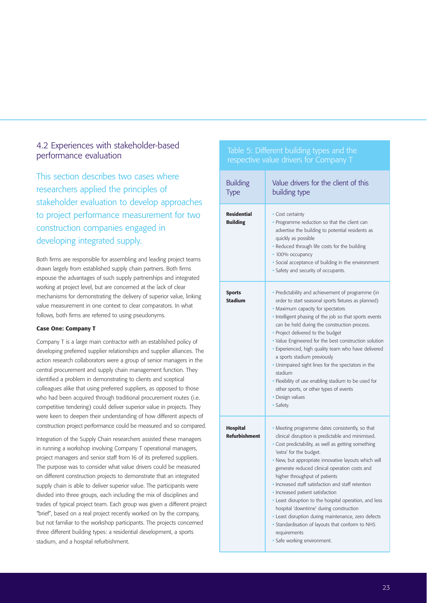### 4.2 Experiences with stakeholder-based performance evaluation

This section describes two cases where researchers applied the principles of stakeholder evaluation to develop approaches to project performance measurement for two construction companies engaged in developing integrated supply.

Both firms are responsible for assembling and leading project teams drawn largely from established supply chain partners. Both firms espouse the advantages of such supply partnerships and integrated working at project level, but are concerned at the lack of clear mechanisms for demonstrating the delivery of superior value, linking value measurement in one context to clear comparators. In what follows, both firms are referred to using pseudonyms.

#### Case One: Company T

Company T is a large main contractor with an established policy of developing preferred supplier relationships and supplier alliances. The action research collaborators were a group of senior managers in the central procurement and supply chain management function. They identified a problem in demonstrating to clients and sceptical colleagues alike that using preferred suppliers, as opposed to those who had been acquired through traditional procurement routes (i.e. competitive tendering) could deliver superior value in projects. They were keen to deepen their understanding of how different aspects of construction project performance could be measured and so compared.

Integration of the Supply Chain researchers assisted these managers in running a workshop involving Company T operational managers, project managers and senior staff from 16 of its preferred suppliers. The purpose was to consider what value drivers could be measured on different construction projects to demonstrate that an integrated supply chain is able to deliver superior value. The participants were divided into three groups, each including the mix of disciplines and trades of typical project team. Each group was given a different project "brief", based on a real project recently worked on by the company, but not familiar to the workshop participants. The projects concerned three different building types: a residential development, a sports stadium, and a hospital refurbishment.

#### Table 5: Different building types and the respective value drivers for Company T

| <b>Building</b><br>Type                 | Value drivers for the client of this<br>building type                                                                                                                                                                                                                                                                                                                                                                                                                                                                                                                                                                                                                                     |
|-----------------------------------------|-------------------------------------------------------------------------------------------------------------------------------------------------------------------------------------------------------------------------------------------------------------------------------------------------------------------------------------------------------------------------------------------------------------------------------------------------------------------------------------------------------------------------------------------------------------------------------------------------------------------------------------------------------------------------------------------|
| <b>Residential</b><br><b>Building</b>   | • Cost certainty<br>• Programme reduction so that the client can<br>advertise the building to potential residents as<br>quickly as possible<br>· Reduced through life costs for the building<br>• 100% occupancy<br>· Social acceptance of building in the environment<br>· Safety and security of occupants.                                                                                                                                                                                                                                                                                                                                                                             |
| <b>Sports</b><br><b>Stadium</b>         | • Predictability and achievement of programme (in<br>order to start seasonal sports fixtures as planned)<br>• Maximum capacity for spectators<br>• Intelligent phasing of the job so that sports events<br>can be held during the construction process.<br>• Project delivered to the budget<br>• Value Engineered for the best construction solution<br>· Experienced, high quality team who have delivered<br>a sports stadium previously<br>• Unimpaired sight lines for the spectators in the<br>stadium<br>• Flexibility of use enabling stadium to be used for<br>other sports, or other types of events<br>• Design values<br>• Safety.                                            |
| <b>Hospital</b><br><b>Refurbishment</b> | • Meeting programme dates consistently, so that<br>clinical disruption is predictable and minimised.<br>• Cost predictability, as well as getting something<br>'extra' for the budget.<br>· New, but appropriate innovative layouts which will<br>generate reduced clinical operation costs and<br>higher throughput of patients<br>• Increased staff satisfaction and staff retention<br>· Increased patient satisfaction<br>• Least disruption to the hospital operation, and less<br>hospital 'downtime' during construction<br>· Least disruption during maintenance, zero defects<br>• Standardisation of layouts that conform to NHS<br>requirements<br>· Safe working environment. |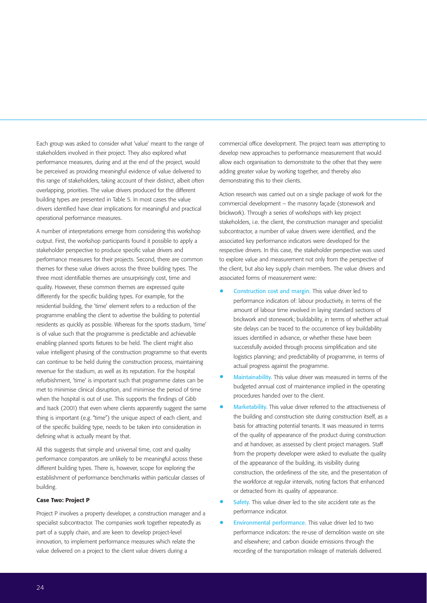Each group was asked to consider what 'value' meant to the range of stakeholders involved in their project. They also explored what performance measures, during and at the end of the project, would be perceived as providing meaningful evidence of value delivered to this range of stakeholders, taking account of their distinct, albeit often overlapping, priorities. The value drivers produced for the different building types are presented in Table 5. In most cases the value drivers identified have clear implications for meaningful and practical operational performance measures.

A number of interpretations emerge from considering this workshop output. First, the workshop participants found it possible to apply a stakeholder perspective to produce specific value drivers and performance measures for their projects. Second, there are common themes for these value drivers across the three building types. The three most identifiable themes are unsurprisingly cost, time and quality. However, these common themes are expressed quite differently for the specific building types. For example, for the residential building, the 'time' element refers to a reduction of the programme enabling the client to advertise the building to potential residents as quickly as possible. Whereas for the sports stadium, 'time' is of value such that the programme is predictable and achievable enabling planned sports fixtures to be held. The client might also value intelligent phasing of the construction programme so that events can continue to be held during the construction process, maintaining revenue for the stadium, as well as its reputation. For the hospital refurbishment, 'time' is important such that programme dates can be met to minimise clinical disruption, and minimise the period of time when the hospital is out of use. This supports the findings of Gibb and Isack (2001) that even where clients apparently suggest the same thing is important (e.g. "time") the unique aspect of each client, and of the specific building type, needs to be taken into consideration in defining what is actually meant by that.

All this suggests that simple and universal time, cost and quality performance comparators are unlikely to be meaningful across these different building types. There is, however, scope for exploring the establishment of performance benchmarks within particular classes of building.

#### Case Two: Project P

Project P involves a property developer, a construction manager and a specialist subcontractor. The companies work together repeatedly as part of a supply chain, and are keen to develop project-level innovation, to implement performance measures which relate the value delivered on a project to the client value drivers during a

commercial office development. The project team was attempting to develop new approaches to performance measurement that would allow each organisation to demonstrate to the other that they were adding greater value by working together, and thereby also demonstrating this to their clients.

Action research was carried out on a single package of work for the commercial development – the masonry façade (stonework and brickwork). Through a series of workshops with key project stakeholders, i.e. the client, the construction manager and specialist subcontractor, a number of value drivers were identified, and the associated key performance indicators were developed for the respective drivers. In this case, the stakeholder perspective was used to explore value and measurement not only from the perspective of the client, but also key supply chain members. The value drivers and associated forms of measurement were:

- Construction cost and margin. This value driver led to performance indicators of: labour productivity, in terms of the amount of labour time involved in laying standard sections of brickwork and stonework; buildability, in terms of whether actual site delays can be traced to the occurrence of key buildability issues identified in advance, or whether these have been successfully avoided through process simplification and site logistics planning; and predictability of programme, in terms of actual progress against the programme.
- Maintainability. This value driver was measured in terms of the budgeted annual cost of maintenance implied in the operating procedures handed over to the client.
- Marketability. This value driver referred to the attractiveness of the building and construction site during construction itself, as a basis for attracting potential tenants. It was measured in terms of the quality of appearance of the product during construction and at handover, as assessed by client project managers. Staff from the property developer were asked to evaluate the quality of the appearance of the building, its visibility during construction, the orderliness of the site, and the presentation of the workforce at regular intervals, noting factors that enhanced or detracted from its quality of appearance.
- Safety. This value driver led to the site accident rate as the performance indicator.
- Environmental performance. This value driver led to two performance indicators: the re-use of demolition waste on site and elsewhere; and carbon dioxide emissions through the recording of the transportation mileage of materials delivered.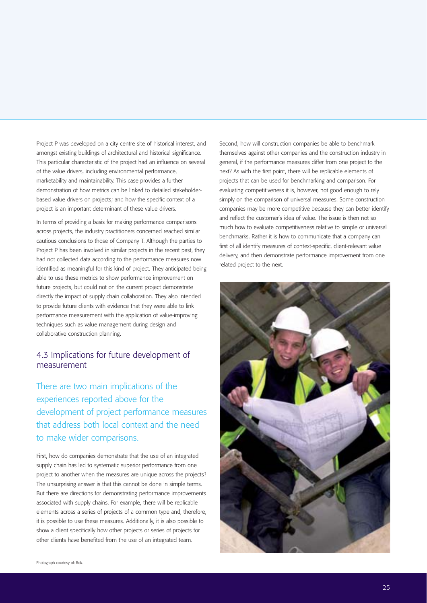Project P was developed on a city centre site of historical interest, and amongst existing buildings of architectural and historical significance. This particular characteristic of the project had an influence on several of the value drivers, including environmental performance, marketability and maintainability. This case provides a further demonstration of how metrics can be linked to detailed stakeholderbased value drivers on projects; and how the specific context of a project is an important determinant of these value drivers.

In terms of providing a basis for making performance comparisons across projects, the industry practitioners concerned reached similar cautious conclusions to those of Company T. Although the parties to Project P has been involved in similar projects in the recent past, they had not collected data according to the performance measures now identified as meaningful for this kind of project. They anticipated being able to use these metrics to show performance improvement on future projects, but could not on the current project demonstrate directly the impact of supply chain collaboration. They also intended to provide future clients with evidence that they were able to link performance measurement with the application of value-improving techniques such as value management during design and collaborative construction planning.

#### 4.3 Implications for future development of measurement

There are two main implications of the experiences reported above for the development of project performance measures that address both local context and the need to make wider comparisons.

First, how do companies demonstrate that the use of an integrated supply chain has led to systematic superior performance from one project to another when the measures are unique across the projects? The unsurprising answer is that this cannot be done in simple terms. But there are directions for demonstrating performance improvements associated with supply chains. For example, there will be replicable elements across a series of projects of a common type and, therefore, it is possible to use these measures. Additionally, it is also possible to show a client specifically how other projects or series of projects for other clients have benefited from the use of an integrated team.

Second, how will construction companies be able to benchmark themselves against other companies and the construction industry in general, if the performance measures differ from one project to the next? As with the first point, there will be replicable elements of projects that can be used for benchmarking and comparison. For evaluating competitiveness it is, however, not good enough to rely simply on the comparison of universal measures. Some construction companies may be more competitive because they can better identify and reflect the customer's idea of value. The issue is then not so much how to evaluate competitiveness relative to simple or universal benchmarks. Rather it is how to communicate that a company can first of all identify measures of context-specific, client-relevant value delivery, and then demonstrate performance improvement from one related project to the next.

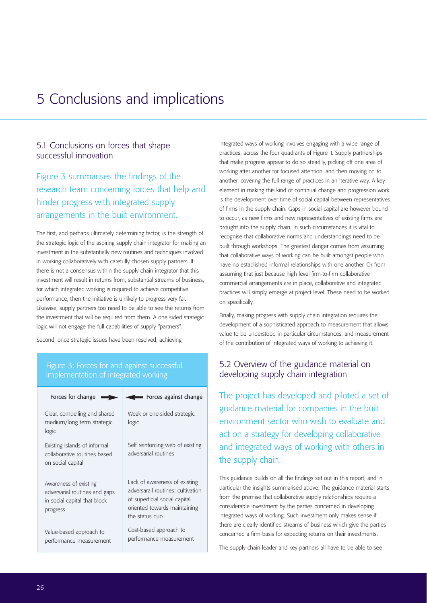# 5 Conclusions and implications

### 5.1 Conclusions on forces that shape successful innovation

Figure 3 summarises the findings of the research team concerning forces that help and hinder progress with integrated supply arrangements in the built environment.

The first, and perhaps ultimately determining factor, is the strength of the strategic logic of the aspiring supply chain integrator for making an investment in the substantially new routines and techniques involved in working collaboratively with carefully chosen supply partners. If there is not a consensus within the supply chain integrator that this investment will result in returns from, substantial streams of business for which integrated working is required to achieve competitive performance, then the initiative is unlikely to progress very far. Likewise, supply partners too need to be able to see the returns from the investment that will be required from them. A one sided strategic logic will not engage the full capabilities of supply "partners".

Second, once strategic issues have been resolved, achieving

# Figure 3: Forces for and against successful

| Forces for change                                                                                  | Forces against change                                                                                                                                 |
|----------------------------------------------------------------------------------------------------|-------------------------------------------------------------------------------------------------------------------------------------------------------|
| Clear, compelling and shared<br>medium/long term strategic<br>logic                                | Weak or one-sided strategic<br>logic                                                                                                                  |
| Existing islands of informal<br>collaborative routines based<br>on social capital                  | Self reinforcing web of existing<br>adversarial routines                                                                                              |
| Awareness of existing<br>adversarial routines and gaps<br>in social capital that block<br>progress | Lack of awareness of existing<br>adversarail routines; cultivation<br>of superficial social capital<br>oriented towards maintaining<br>the status quo |
| Value-based approach to<br>performance measurement                                                 | Cost-based approach to<br>performance measurement                                                                                                     |

integrated ways of working involves engaging with a wide range of practices, across the four quadrants of Figure 1. Supply partnerships that make progress appear to do so steadily, picking off one area of working after another for focused attention, and then moving on to another, covering the full range of practices in an iterative way. A key element in making this kind of continual change and progression work is the development over time of social capital between representatives of firms in the supply chain. Gaps in social capital are however bound to occur, as new firms and new representatives of existing firms are brought into the supply chain. In such circumstances it is vital to recognise that collaborative norms and understandings need to be built through workshops. The greatest danger comes from assuming that collaborative ways of working can be built amongst people who have no established informal relationships with one another. Or from assuming that just because high level firm-to-firm collaborative commercial arrangements are in place, collaborative and integrated practices will simply emerge at project level. These need to be worked on specifically.

Finally, making progress with supply chain integration requires the development of a sophisticated approach to measurement that allows value to be understood in particular circumstances, and measurement of the contribution of integrated ways of working to achieving it.

### 5.2 Overview of the guidance material on developing supply chain integration

The project has developed and piloted a set of guidance material for companies in the built environment sector who wish to evaluate and act on a strategy for developing collaborative and integrated ways of working with others in the supply chain.

This guidance builds on all the findings set out in this report, and in particular the insights summarised above. The guidance material starts from the premise that collaborative supply relationships require a considerable investment by the parties concerned in developing integrated ways of working. Such investment only makes sense if there are clearly identified streams of business which give the parties concerned a firm basis for expecting returns on their investments.

The supply chain leader and key partners all have to be able to see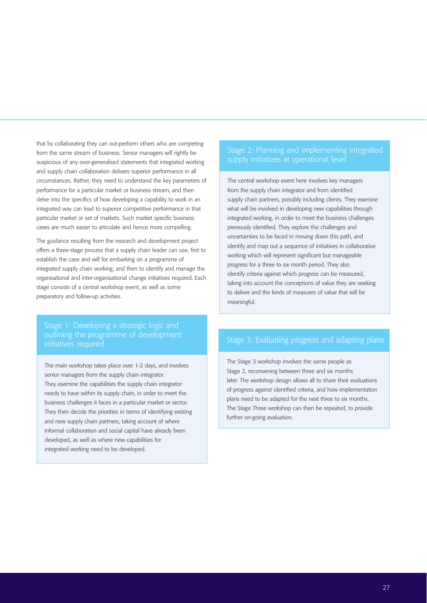that by collaborating they can out-perform others who are competing from the same stream of business. Senior managers will rightly be suspicious of any over-generalised statements that integrated working and supply chain collaboration delivers superior performance in all circumstances. Rather, they need to understand the key parameters of performance for a particular market or business stream, and then delve into the specifics of how developing a capability to work in an integrated way can lead to superior competitive performance in that particular market or set of markets. Such market specific business cases are much easier to articulate and hence more compelling.

The guidance resulting from the research and development project offers a three-stage process that a supply chain leader can use, first to establish the case and will for embarking on a programme of integrated supply chain working, and then to identify and manage the organisational and inter-organisational change initiatives required. Each stage consists of a central workshop event, as well as some preparatory and follow-up activities.

#### Stage 1: Developing a strategic logic and outlining the programme of development initiatives required

The main workshop takes place over 1-2 days, and involves senior managers from the supply chain integrator. They examine the capabilities the supply chain integrator needs to have within its supply chain, in order to meet the business challenges it faces in a particular market or sector. They then decide the priorities in terms of identifying existing and new supply chain partners, taking account of where informal collaboration and social capital have already been developed, as well as where new capabilities for integrated working need to be developed.

#### Stage 2: Planning and implementing integrated supply initiatives at operational level

The central workshop event here involves key managers from the supply chain integrator and from identified supply chain partners, possibly including clients. They examine what will be involved in developing new capabilities through integrated working, in order to meet the business challenges previously identified. They explore the challenges and uncertainties to be faced in moving down this path, and identify and map out a sequence of initiatives in collaborative working which will represent significant but manageable progress for a three to six month period. They also identify criteria against which progress can be measured, taking into account the conceptions of value they are seeking to deliver and the kinds of measures of value that will be meaningful.

#### Stage 3: Evaluating progress and adapting plans

The Stage 3 workshop involves the same people as Stage 2, reconvening between three and six months later. The workshop design allows all to share their evaluations of progress against identified criteria, and how implementation plans need to be adapted for the next three to six months. The Stage Three workshop can then be repeated, to provide further on-going evaluation.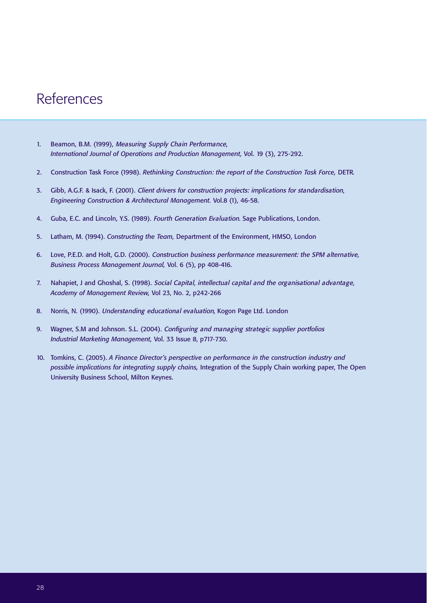# References

- 1. Beamon, B.M. (1999), Measuring Supply Chain Performance, *International Journal of Operations and Production Management,* Vol. 19 (3), 275-292.
- 2. Construction Task Force (1998). *Rethinking Construction: the report of the Construction Task Force,* DETR*.*
- 3. Gibb, A.G.F. & Isack, F. (2001). Client drivers for construction projects: implications for standardisation, *Engineering Construction & Architectural Management.* Vol.8 (1), 46-58.
- 4. Guba, E.C. and Lincoln, Y.S. (1989). Fourth Generation Evaluation. Sage Publications, London.
- 5. Latham, M. (1994). *Constructing the Team,* Department of the Environment, HMSO, London
- 6. Love, P.E.D. and Holt, G.D. (2000). Construction business performance measurement: the SPM alternative, *Business Process Management Journal,* Vol. 6 (5), pp 408-416.
- 7. Nahapiet, J and Ghoshal, S. (1998). Social Capital, intellectual capital and the organisational advantage, *Academy of Management Review,* Vol 23, No. 2, p242-266
- 8. Norris, N. (1990). Understanding educational evaluation, Kogon Page Ltd. London
- 9. Wagner, S.M and Johnson. S.L. (2004). Configuring and managing strategic supplier portfolios *Industrial Marketing Management,* Vol. 33 Issue 8, p717-730.
- 10. Tomkins, C. (2005). *A Finance Director's perspective on performance in the construction industry and possible implications for integrating supply chains,* Integration of the Supply Chain working paper, The Open University Business School, Milton Keynes.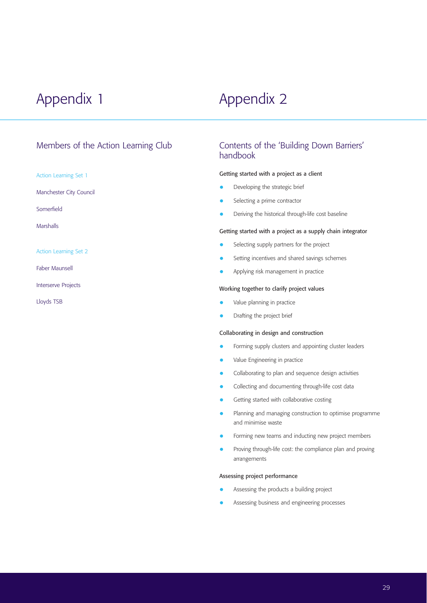# Appendix 1 Appendix 2

### Members of the Action Learning Club

Action Learning Set 1

Manchester City Council

Somerfield

Marshalls

Action Learning Set 2

Faber Maunsell

Interserve Projects

Lloyds TSB

## Contents of the 'Building Down Barriers' handbook

#### Getting started with a project as a client

- Developing the strategic brief
- Selecting a prime contractor
- Deriving the historical through-life cost baseline

#### Getting started with a project as a supply chain integrator

- Selecting supply partners for the project
- Setting incentives and shared savings schemes
- Applying risk management in practice

#### Working together to clarify project values

- Value planning in practice
- Drafting the project brief

#### Collaborating in design and construction

- Forming supply clusters and appointing cluster leaders
- Value Engineering in practice
- Collaborating to plan and sequence design activities
- Collecting and documenting through-life cost data
- Getting started with collaborative costing
- Planning and managing construction to optimise programme and minimise waste
- Forming new teams and inducting new project members
- Proving through-life cost: the compliance plan and proving arrangements

#### Assessing project performance

- Assessing the products a building project
- Assessing business and engineering processes